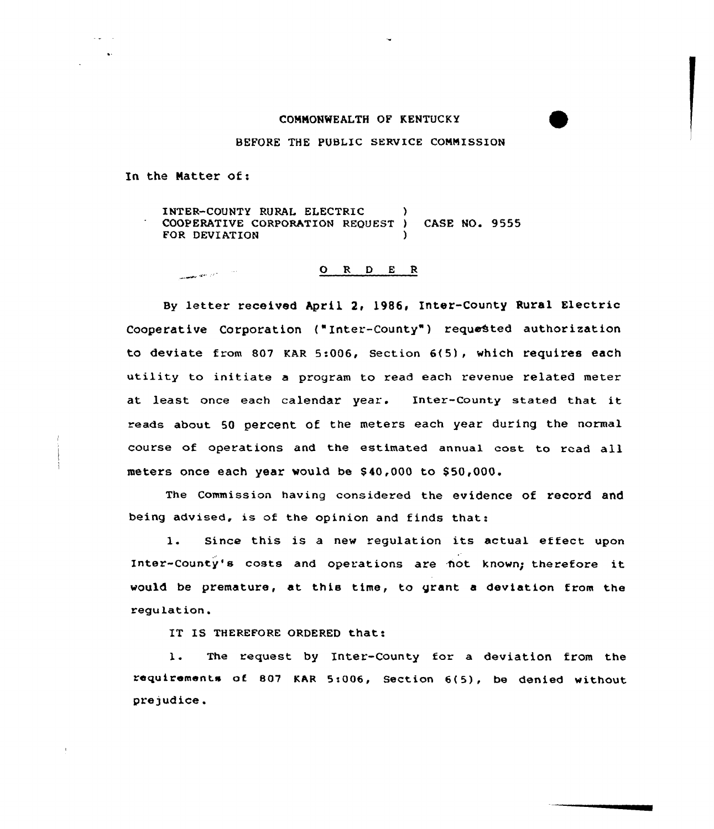## CONNONWEALTH OF KENTUCKY

## BEFORE THE PUBLIC SERVICE CONNISSION

In the Natter of:

anana se ji ji

 $\omega_{\rm eff} = 1$ 

INTER-COUNTY RURAL ELECTRIC ) COOPERATIVE CORPORATION REQUEST ) CASE NO. 9555 FOR DEVIATION

## 0 <sup>R</sup> <sup>D</sup> <sup>E</sup> <sup>R</sup>

By letter received April 2, l986, Inter-County Rural Electric Cooperative Corporation ("Inter-County") requested authorization to deviate from 807 KAR 5:006, Section  $6(5)$ , which requires each utility to initiate a program to read each revenue related meter at least once each calendar year. Inter-county stated that it eads about 50 percent of the meters each year during the normal course of operations and the estimated annual cost to read all meters once each year would be \$40,000 to \$50,000.

The Commission having considered the evidence of record and being advised, is of the opinion and finds that:

1. Since this is a new regulation its actual effect upon Inter-county's costs and operations are not known; therefore it would be premature, at this time, to grant a deviation from the regulation.

IT IS THEREFORE ORDERED that:

1. The request by Inter-County for <sup>a</sup> deviation from the requirements of. 807 KAR 5i006, Section 6(5), be denied without prejudice.